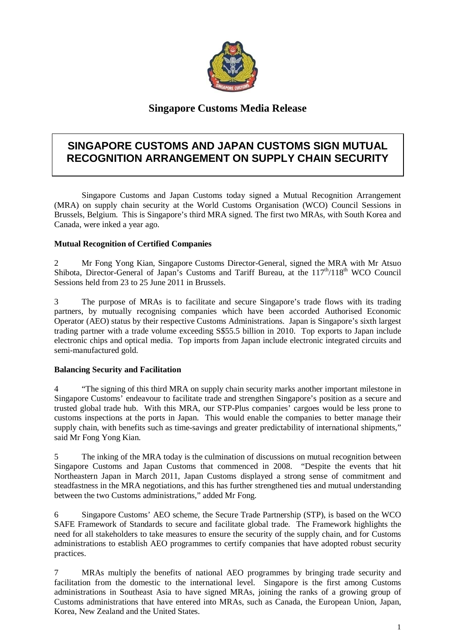

## **Singapore Customs Media Release**

# **SINGAPORE CUSTOMS AND JAPAN CUSTOMS SIGN MUTUAL RECOGNITION ARRANGEMENT ON SUPPLY CHAIN SECURITY**

Singapore Customs and Japan Customs today signed a Mutual Recognition Arrangement (MRA) on supply chain security at the World Customs Organisation (WCO) Council Sessions in Brussels, Belgium. This is Singapore's third MRA signed. The first two MRAs, with South Korea and Canada, were inked a year ago.

#### **Mutual Recognition of Certified Companies**

2 Mr Fong Yong Kian, Singapore Customs Director-General, signed the MRA with Mr Atsuo Shibota, Director-General of Japan's Customs and Tariff Bureau, at the  $117<sup>th</sup>/118<sup>th</sup>$  WCO Council Sessions held from 23 to 25 June 2011 in Brussels.

3 The purpose of MRAs is to facilitate and secure Singapore's trade flows with its trading partners, by mutually recognising companies which have been accorded Authorised Economic Operator (AEO) status by their respective Customs Administrations. Japan is Singapore's sixth largest trading partner with a trade volume exceeding S\$55.5 billion in 2010. Top exports to Japan include electronic chips and optical media. Top imports from Japan include electronic integrated circuits and semi-manufactured gold.

#### **Balancing Security and Facilitation**

4 "The signing of this third MRA on supply chain security marks another important milestone in Singapore Customs' endeavour to facilitate trade and strengthen Singapore's position as a secure and trusted global trade hub. With this MRA, our STP-Plus companies' cargoes would be less prone to customs inspections at the ports in Japan. This would enable the companies to better manage their supply chain, with benefits such as time-savings and greater predictability of international shipments," said Mr Fong Yong Kian.

5 The inking of the MRA today is the culmination of discussions on mutual recognition between Singapore Customs and Japan Customs that commenced in 2008. "Despite the events that hit Northeastern Japan in March 2011, Japan Customs displayed a strong sense of commitment and steadfastness in the MRA negotiations, and this has further strengthened ties and mutual understanding between the two Customs administrations," added Mr Fong.

6 Singapore Customs' AEO scheme, the Secure Trade Partnership (STP), is based on the WCO SAFE Framework of Standards to secure and facilitate global trade. The Framework highlights the need for all stakeholders to take measures to ensure the security of the supply chain, and for Customs administrations to establish AEO programmes to certify companies that have adopted robust security practices.

7 MRAs multiply the benefits of national AEO programmes by bringing trade security and facilitation from the domestic to the international level. Singapore is the first among Customs administrations in Southeast Asia to have signed MRAs, joining the ranks of a growing group of Customs administrations that have entered into MRAs, such as Canada, the European Union, Japan, Korea, New Zealand and the United States.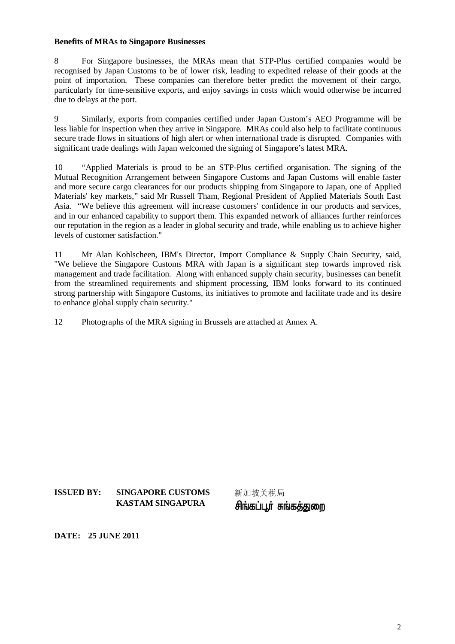#### **Benefits of MRAs to Singapore Businesses**

8 For Singapore businesses, the MRAs mean that STP-Plus certified companies would be recognised by Japan Customs to be of lower risk, leading to expedited release of their goods at the point of importation. These companies can therefore better predict the movement of their cargo, particularly for time-sensitive exports, and enjoy savings in costs which would otherwise be incurred due to delays at the port.

9 Similarly, exports from companies certified under Japan Custom's AEO Programme will be less liable for inspection when they arrive in Singapore. MRAs could also help to facilitate continuous secure trade flows in situations of high alert or when international trade is disrupted. Companies with significant trade dealings with Japan welcomed the signing of Singapore's latest MRA.

10 "Applied Materials is proud to be an STP-Plus certified organisation. The signing of the Mutual Recognition Arrangement between Singapore Customs and Japan Customs will enable faster and more secure cargo clearances for our products shipping from Singapore to Japan, one of Applied Materials' key markets," said Mr Russell Tham, Regional President of Applied Materials South East Asia. "We believe this agreement will increase customers' confidence in our products and services, and in our enhanced capability to support them. This expanded network of alliances further reinforces our reputation in the region as a leader in global security and trade, while enabling us to achieve higher levels of customer satisfaction."

11 Mr Alan Kohlscheen, IBM's Director, Import Compliance & Supply Chain Security, said, "We believe the Singapore Customs MRA with Japan is a significant step towards improved risk management and trade facilitation. Along with enhanced supply chain security, businesses can benefit from the streamlined requirements and shipment processing, IBM looks forward to its continued strong partnership with Singapore Customs, its initiatives to promote and facilitate trade and its desire to enhance global supply chain security."

12 Photographs of the MRA signing in Brussels are attached at Annex A.

**ISSUED BY: SINGAPORE CUSTOMS** 新加坡关税局 **KASTAM SINGAPURA** 

சிங்கப்பூர் சுங்கத்துறை

**DATE: 25 JUNE 2011**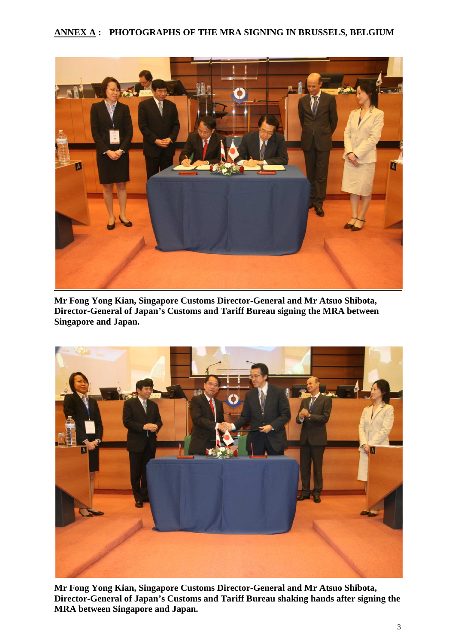### **ANNEX A : PHOTOGRAPHS OF THE MRA SIGNING IN BRUSSELS, BELGIUM**



**Mr Fong Yong Kian, Singapore Customs Director-General and Mr Atsuo Shibota, Director-General of Japan's Customs and Tariff Bureau signing the MRA between Singapore and Japan.** 



**Mr Fong Yong Kian, Singapore Customs Director-General and Mr Atsuo Shibota, Director-General of Japan's Customs and Tariff Bureau shaking hands after signing the MRA between Singapore and Japan.**